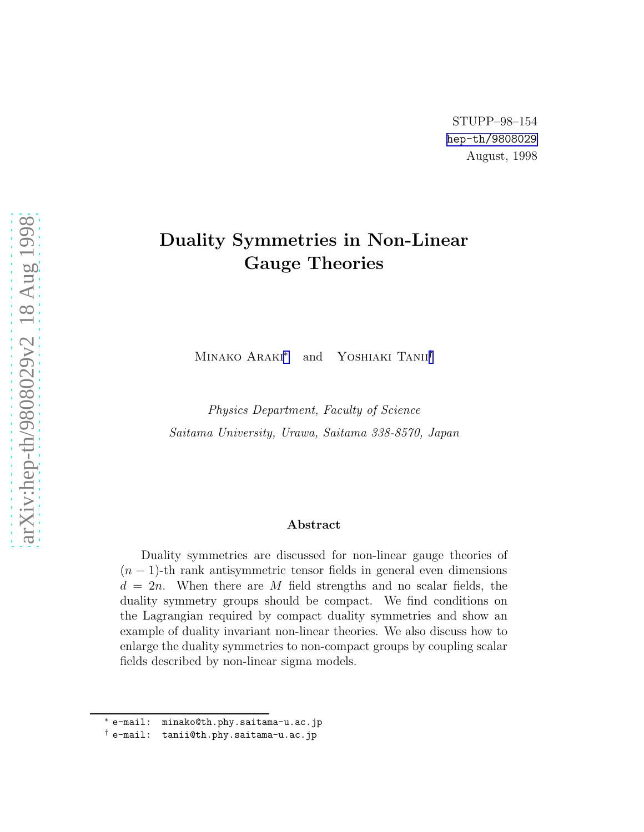# Duality Symmetries in Non-Linear Gauge Theories

MINAKO ARAKI<sup>\*</sup> and YOSHIAKI TANII<sup>†</sup>

Physics Department, Faculty of Science Saitama University, Urawa, Saitama 338-8570, Japan

#### Abstract

Duality symmetries are discussed for non-linear gauge theories of  $(n-1)$ -th rank antisymmetric tensor fields in general even dimensions  $d = 2n$ . When there are M field strengths and no scalar fields, the duality symmetry groups should be compact. We find conditions on the Lagrangian required by compact duality symmetries and show an example of duality invariant non-linear theories. We also discuss how to enlarge the duality symmetries to non-compact groups by coupling scalar fields described by non-linear sigma models.

<sup>∗</sup> e-mail: minako@th.phy.saitama-u.ac.jp

<sup>†</sup> e-mail: tanii@th.phy.saitama-u.ac.jp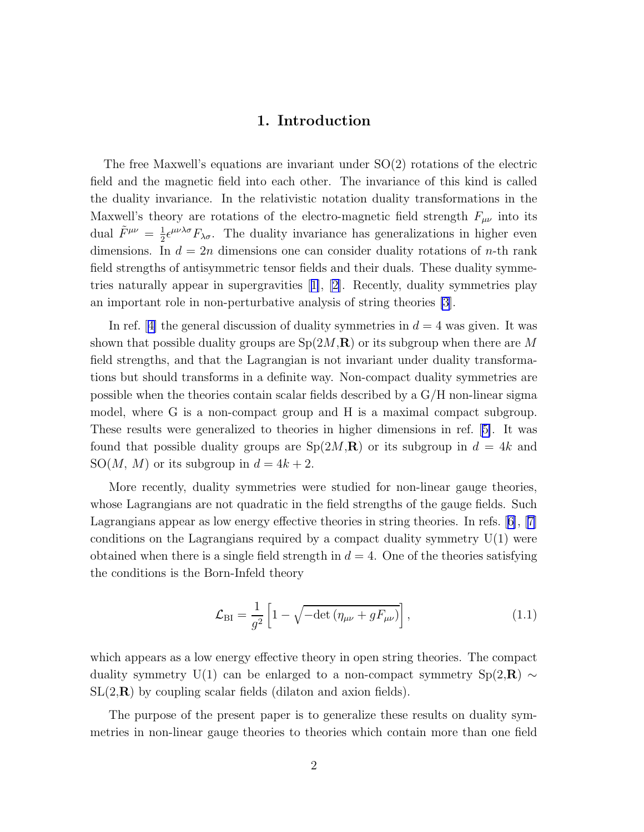## 1. Introduction

<span id="page-1-0"></span>The free Maxwell's equations are invariant under  $SO(2)$  rotations of the electric field and the magnetic field into each other. The invariance of this kind is called the duality invariance. In the relativistic notation duality transformations in the Maxwell's theory are rotations of the electro-magnetic field strength  $F_{\mu\nu}$  into its dual  $\tilde{F}^{\mu\nu} = \frac{1}{2}$  $\frac{1}{2} \epsilon^{\mu\nu\lambda\sigma} F_{\lambda\sigma}$ . The duality invariance has generalizations in higher even dimensions. In  $d = 2n$  dimensions one can consider duality rotations of n-th rank field strengths of antisymmetric tensor fields and their duals. These duality symmetries naturally appear in supergravities[[1\]](#page-14-0), [\[2\]](#page-14-0). Recently, duality symmetries play an important role in non-perturbative analysis of string theories [\[3](#page-14-0)].

Inref. [[4\]](#page-14-0) the general discussion of duality symmetries in  $d = 4$  was given. It was shown that possible duality groups are  $Sp(2M,\mathbf{R})$  or its subgroup when there are M field strengths, and that the Lagrangian is not invariant under duality transformations but should transforms in a definite way. Non-compact duality symmetries are possible when the theories contain scalar fields described by a G/H non-linear sigma model, where G is a non-compact group and H is a maximal compact subgroup. These results were generalized to theories in higher dimensions in ref.[[5\]](#page-14-0). It was found that possible duality groups are  $Sp(2M,\mathbf{R})$  or its subgroup in  $d=4k$  and SO(M, M) or its subgroup in  $d = 4k + 2$ .

More recently, duality symmetries were studied for non-linear gauge theories, whose Lagrangians are not quadratic in the field strengths of the gauge fields. Such Lagrangians appear as low energy effective theories in string theories. In refs.[[6\]](#page-14-0),[[7\]](#page-14-0) conditions on the Lagrangians required by a compact duality symmetry  $U(1)$  were obtained when there is a single field strength in  $d = 4$ . One of the theories satisfying the conditions is the Born-Infeld theory

$$
\mathcal{L}_{\rm BI} = \frac{1}{g^2} \left[ 1 - \sqrt{-\det \left( \eta_{\mu\nu} + gF_{\mu\nu} \right)} \right],\tag{1.1}
$$

which appears as a low energy effective theory in open string theories. The compact duality symmetry U(1) can be enlarged to a non-compact symmetry  $Sp(2,\mathbf{R}) \sim$  $SL(2,\mathbf{R})$  by coupling scalar fields (dilaton and axion fields).

The purpose of the present paper is to generalize these results on duality symmetries in non-linear gauge theories to theories which contain more than one field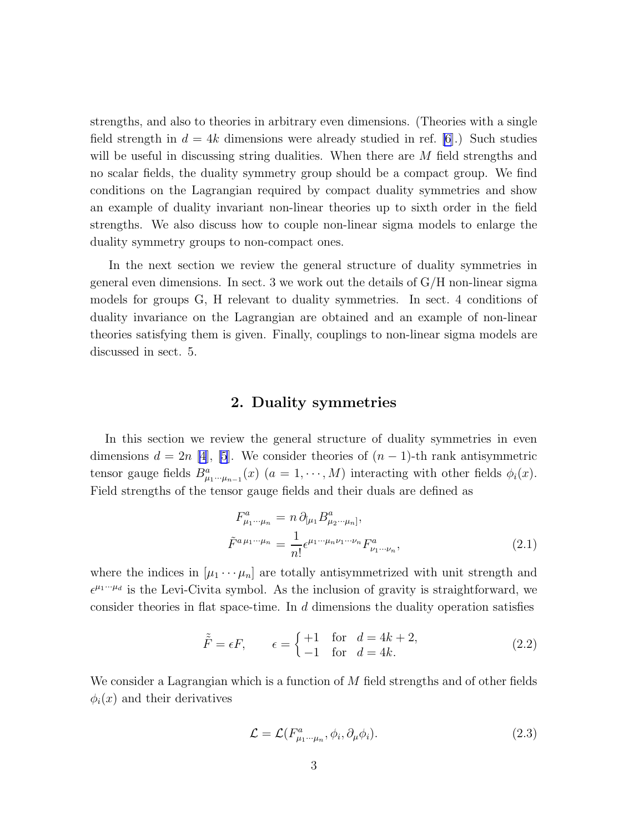strengths, and also to theories in arbitrary even dimensions. (Theories with a single field strength in  $d = 4k$  dimensions were already studied in ref. [\[6\]](#page-14-0).) Such studies will be useful in discussing string dualities. When there are M field strengths and no scalar fields, the duality symmetry group should be a compact group. We find conditions on the Lagrangian required by compact duality symmetries and show an example of duality invariant non-linear theories up to sixth order in the field strengths. We also discuss how to couple non-linear sigma models to enlarge the duality symmetry groups to non-compact ones.

In the next section we review the general structure of duality symmetries in general even dimensions. In sect. 3 we work out the details of  $G/H$  non-linear sigma models for groups G, H relevant to duality symmetries. In sect. 4 conditions of duality invariance on the Lagrangian are obtained and an example of non-linear theories satisfying them is given. Finally, couplings to non-linear sigma models are discussed in sect. 5.

#### 2. Duality symmetries

In this section we review the general structure of duality symmetries in even dimensions  $d = 2n$  [\[4](#page-14-0)], [\[5](#page-14-0)]. We consider theories of  $(n-1)$ -th rank antisymmetric tensor gauge fields  $B^a_{\mu_1\cdots\mu_{n-1}}(x)$   $(a = 1, \cdots, M)$  interacting with other fields  $\phi_i(x)$ . Field strengths of the tensor gauge fields and their duals are defined as

$$
F^{a}_{\mu_{1}\cdots\mu_{n}} = n \, \partial_{[\mu_{1}} B^{a}_{\mu_{2}\cdots\mu_{n}]},
$$
  
\n
$$
\tilde{F}^{a\,\mu_{1}\cdots\mu_{n}} = \frac{1}{n!} \epsilon^{\mu_{1}\cdots\mu_{n}\nu_{1}\cdots\nu_{n}} F^{a}_{\nu_{1}\cdots\nu_{n}},
$$
\n(2.1)

where the indices in  $[\mu_1 \cdots \mu_n]$  are totally antisymmetrized with unit strength and  $\epsilon^{\mu_1\cdots\mu_d}$  is the Levi-Civita symbol. As the inclusion of gravity is straightforward, we consider theories in flat space-time. In d dimensions the duality operation satisfies

$$
\tilde{\tilde{F}} = \epsilon F, \qquad \epsilon = \begin{cases} +1 & \text{for} \quad d = 4k + 2, \\ -1 & \text{for} \quad d = 4k. \end{cases} \tag{2.2}
$$

We consider a Lagrangian which is a function of  $M$  field strengths and of other fields  $\phi_i(x)$  and their derivatives

$$
\mathcal{L} = \mathcal{L}(F_{\mu_1 \cdots \mu_n}^a, \phi_i, \partial_\mu \phi_i). \tag{2.3}
$$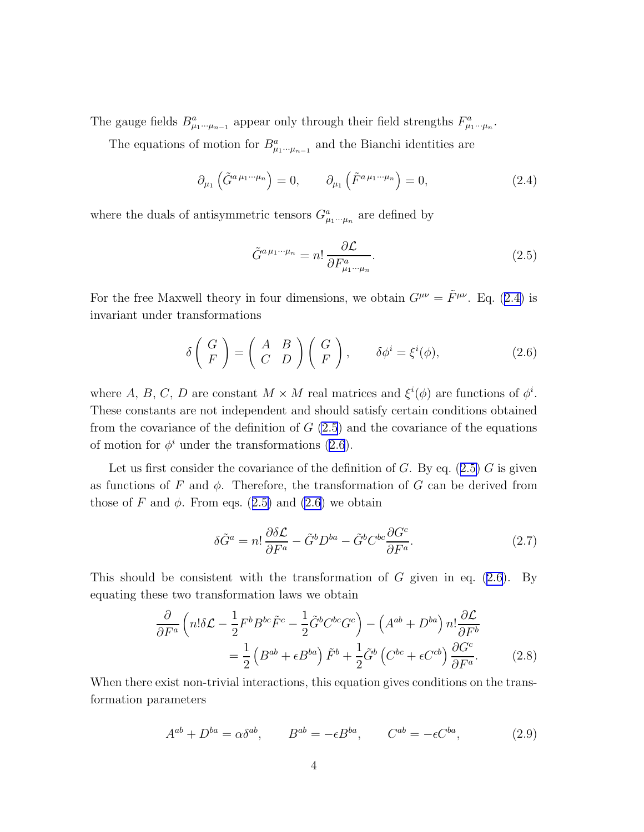<span id="page-3-0"></span>The gauge fields  $B^a_{\mu_1\cdots\mu_{n-1}}$  appear only through their field strengths  $F^a_{\mu_1\cdots\mu_n}$ .

The equations of motion for  $B^a_{\mu_1\cdots\mu_{n-1}}$  and the Bianchi identities are

$$
\partial_{\mu_1}(\tilde{G}^{a\,\mu_1\cdots\mu_n}) = 0, \qquad \partial_{\mu_1}(\tilde{F}^{a\,\mu_1\cdots\mu_n}) = 0,\tag{2.4}
$$

where the duals of antisymmetric tensors  $G^a_{\mu_1\cdots\mu_n}$  are defined by

$$
\tilde{G}^{a\,\mu_1\cdots\mu_n} = n! \frac{\partial \mathcal{L}}{\partial F^a_{\mu_1\cdots\mu_n}}.
$$
\n(2.5)

For the free Maxwell theory in four dimensions, we obtain  $G^{\mu\nu} = \tilde{F}^{\mu\nu}$ . Eq. (2.4) is invariant under transformations

$$
\delta\left(\begin{array}{c} G \\ F \end{array}\right) = \left(\begin{array}{cc} A & B \\ C & D \end{array}\right) \left(\begin{array}{c} G \\ F \end{array}\right), \qquad \delta\phi^i = \xi^i(\phi), \tag{2.6}
$$

where A, B, C, D are constant  $M \times M$  real matrices and  $\xi^{i}(\phi)$  are functions of  $\phi^{i}$ . These constants are not independent and should satisfy certain conditions obtained from the covariance of the definition of  $G(2.5)$  and the covariance of the equations of motion for  $\phi^i$  under the transformations (2.6).

Let us first consider the covariance of the definition of  $G$ . By eq. (2.5)  $G$  is given as functions of F and  $\phi$ . Therefore, the transformation of G can be derived from those of F and  $\phi$ . From eqs. (2.5) and (2.6) we obtain

$$
\delta \tilde{G}^a = n! \frac{\partial \delta \mathcal{L}}{\partial F^a} - \tilde{G}^b D^{ba} - \tilde{G}^b C^{bc} \frac{\partial G^c}{\partial F^a}.
$$
 (2.7)

This should be consistent with the transformation of  $G$  given in eq. (2.6). By equating these two transformation laws we obtain

$$
\frac{\partial}{\partial F^a} \left( n! \delta \mathcal{L} - \frac{1}{2} F^b B^{bc} \tilde{F}^c - \frac{1}{2} \tilde{G}^b C^{bc} G^c \right) - \left( A^{ab} + D^{ba} \right) n! \frac{\partial \mathcal{L}}{\partial F^b}
$$

$$
= \frac{1}{2} \left( B^{ab} + \epsilon B^{ba} \right) \tilde{F}^b + \frac{1}{2} \tilde{G}^b \left( C^{bc} + \epsilon C^{cb} \right) \frac{\partial G^c}{\partial F^a} . \tag{2.8}
$$

When there exist non-trivial interactions, this equation gives conditions on the transformation parameters

$$
A^{ab} + D^{ba} = \alpha \delta^{ab}, \qquad B^{ab} = -\epsilon B^{ba}, \qquad C^{ab} = -\epsilon C^{ba}, \tag{2.9}
$$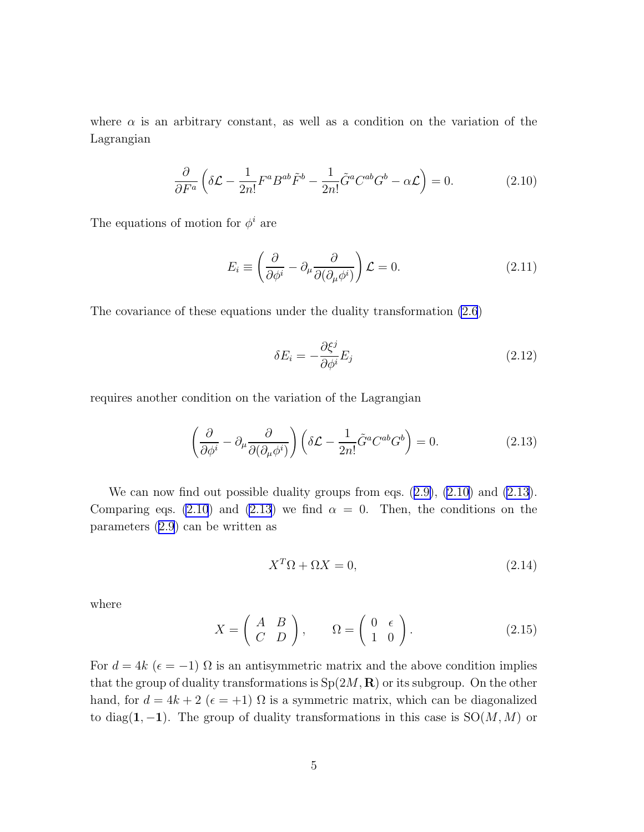<span id="page-4-0"></span>where  $\alpha$  is an arbitrary constant, as well as a condition on the variation of the Lagrangian

$$
\frac{\partial}{\partial F^a} \left( \delta \mathcal{L} - \frac{1}{2n!} F^a B^{ab} \tilde{F}^b - \frac{1}{2n!} \tilde{G}^a C^{ab} G^b - \alpha \mathcal{L} \right) = 0. \tag{2.10}
$$

The equations of motion for  $\phi^i$  are

$$
E_i \equiv \left(\frac{\partial}{\partial \phi^i} - \partial_\mu \frac{\partial}{\partial (\partial_\mu \phi^i)}\right) \mathcal{L} = 0.
$$
 (2.11)

The covariance of these equations under the duality transformation [\(2.6](#page-3-0))

$$
\delta E_i = -\frac{\partial \xi^j}{\partial \phi^i} E_j \tag{2.12}
$$

requires another condition on the variation of the Lagrangian

$$
\left(\frac{\partial}{\partial \phi^i} - \partial_\mu \frac{\partial}{\partial (\partial_\mu \phi^i)}\right) \left(\delta \mathcal{L} - \frac{1}{2n!} \tilde{G}^a C^{ab} G^b \right) = 0.
$$
\n(2.13)

Wecan now find out possible duality groups from eqs.  $(2.9)$  $(2.9)$ ,  $(2.10)$  and  $(2.13)$ . Comparing eqs. (2.10) and (2.13) we find  $\alpha = 0$ . Then, the conditions on the parameters([2.9\)](#page-3-0) can be written as

$$
X^T \Omega + \Omega X = 0,\t\t(2.14)
$$

where

$$
X = \left(\begin{array}{cc} A & B \\ C & D \end{array}\right), \qquad \Omega = \left(\begin{array}{cc} 0 & \epsilon \\ 1 & 0 \end{array}\right). \tag{2.15}
$$

For  $d = 4k$  ( $\epsilon = -1$ )  $\Omega$  is an antisymmetric matrix and the above condition implies that the group of duality transformations is  $Sp(2M, \mathbf{R})$  or its subgroup. On the other hand, for  $d = 4k + 2$  ( $\epsilon = +1$ )  $\Omega$  is a symmetric matrix, which can be diagonalized to diag(1, -1). The group of duality transformations in this case is  $SO(M, M)$  or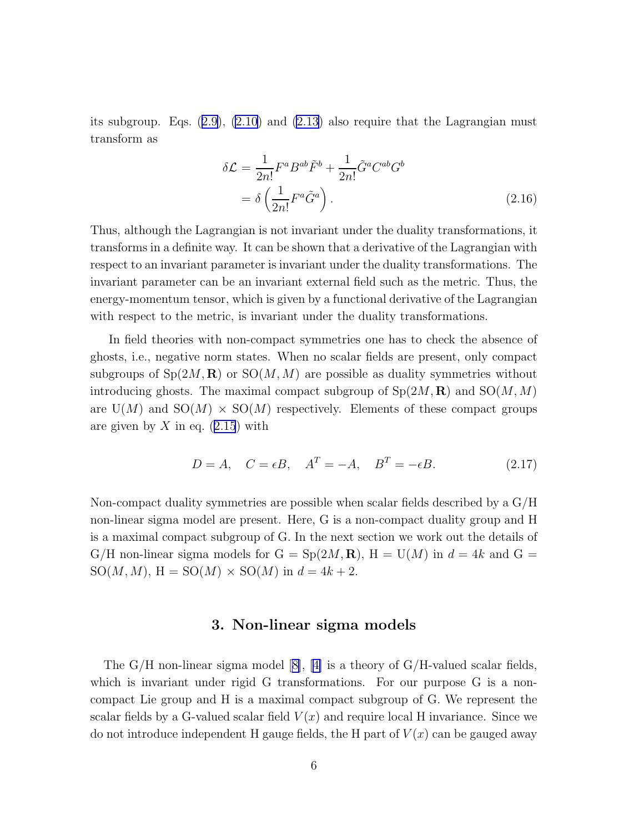<span id="page-5-0"></span>itssubgroup. Eqs.  $(2.9)$  $(2.9)$ ,  $(2.10)$  and  $(2.13)$  also require that the Lagrangian must transform as

$$
\delta \mathcal{L} = \frac{1}{2n!} F^a B^{ab} \tilde{F}^b + \frac{1}{2n!} \tilde{G}^a C^{ab} G^b
$$

$$
= \delta \left( \frac{1}{2n!} F^a \tilde{G}^a \right). \tag{2.16}
$$

Thus, although the Lagrangian is not invariant under the duality transformations, it transforms in a definite way. It can be shown that a derivative of the Lagrangian with respect to an invariant parameter is invariant under the duality transformations. The invariant parameter can be an invariant external field such as the metric. Thus, the energy-momentum tensor, which is given by a functional derivative of the Lagrangian with respect to the metric, is invariant under the duality transformations.

In field theories with non-compact symmetries one has to check the absence of ghosts, i.e., negative norm states. When no scalar fields are present, only compact subgroups of  $Sp(2M, \mathbf{R})$  or  $SO(M, M)$  are possible as duality symmetries without introducing ghosts. The maximal compact subgroup of  $Sp(2M, \mathbf{R})$  and  $SO(M, M)$ are  $U(M)$  and  $SO(M) \times SO(M)$  respectively. Elements of these compact groups aregiven by X in eq.  $(2.15)$  $(2.15)$  $(2.15)$  with

$$
D = A, \quad C = \epsilon B, \quad A^T = -A, \quad B^T = -\epsilon B. \tag{2.17}
$$

Non-compact duality symmetries are possible when scalar fields described by a G/H non-linear sigma model are present. Here, G is a non-compact duality group and H is a maximal compact subgroup of G. In the next section we work out the details of G/H non-linear sigma models for  $G = Sp(2M, \mathbf{R})$ ,  $H = U(M)$  in  $d = 4k$  and  $G =$  $SO(M, M)$ ,  $H = SO(M) \times SO(M)$  in  $d = 4k + 2$ .

#### 3. Non-linear sigma models

TheG/H non-linear sigma model  $[8]$  $[8]$ ,  $[4]$  $[4]$  is a theory of G/H-valued scalar fields, which is invariant under rigid G transformations. For our purpose G is a noncompact Lie group and H is a maximal compact subgroup of G. We represent the scalar fields by a G-valued scalar field  $V(x)$  and require local H invariance. Since we do not introduce independent H gauge fields, the H part of  $V(x)$  can be gauged away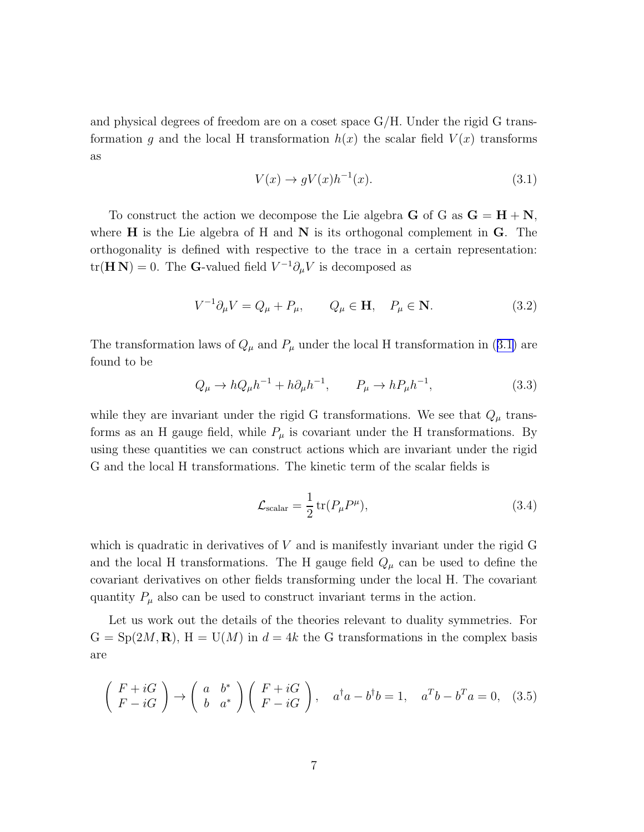<span id="page-6-0"></span>and physical degrees of freedom are on a coset space G/H. Under the rigid G transformation g and the local H transformation  $h(x)$  the scalar field  $V(x)$  transforms as

$$
V(x) \to gV(x)h^{-1}(x). \tag{3.1}
$$

To construct the action we decompose the Lie algebra **G** of G as  $G = H + N$ , where  $H$  is the Lie algebra of H and N is its orthogonal complement in  $G$ . The orthogonality is defined with respective to the trace in a certain representation:  $tr(\mathbf{H} \mathbf{N}) = 0$ . The **G**-valued field  $V^{-1} \partial_{\mu} V$  is decomposed as

$$
V^{-1}\partial_{\mu}V = Q_{\mu} + P_{\mu}, \qquad Q_{\mu} \in \mathbf{H}, \quad P_{\mu} \in \mathbf{N}.
$$
 (3.2)

The transformation laws of  $Q_{\mu}$  and  $P_{\mu}$  under the local H transformation in (3.1) are found to be

$$
Q_{\mu} \to hQ_{\mu}h^{-1} + h\partial_{\mu}h^{-1}, \qquad P_{\mu} \to hP_{\mu}h^{-1}, \tag{3.3}
$$

while they are invariant under the rigid G transformations. We see that  $Q_{\mu}$  transforms as an H gauge field, while  $P_\mu$  is covariant under the H transformations. By using these quantities we can construct actions which are invariant under the rigid G and the local H transformations. The kinetic term of the scalar fields is

$$
\mathcal{L}_{\text{scalar}} = \frac{1}{2} \operatorname{tr}(P_{\mu} P^{\mu}), \tag{3.4}
$$

which is quadratic in derivatives of  $V$  and is manifestly invariant under the rigid  $G$ and the local H transformations. The H gauge field  $Q_{\mu}$  can be used to define the covariant derivatives on other fields transforming under the local H. The covariant quantity  $P_{\mu}$  also can be used to construct invariant terms in the action.

Let us work out the details of the theories relevant to duality symmetries. For  $G = Sp(2M, \mathbf{R}), H = U(M)$  in  $d = 4k$  the G transformations in the complex basis are

$$
\begin{pmatrix} F + iG \\ F - iG \end{pmatrix} \rightarrow \begin{pmatrix} a & b^* \\ b & a^* \end{pmatrix} \begin{pmatrix} F + iG \\ F - iG \end{pmatrix}, \quad a^\dagger a - b^\dagger b = 1, \quad a^T b - b^T a = 0, \quad (3.5)
$$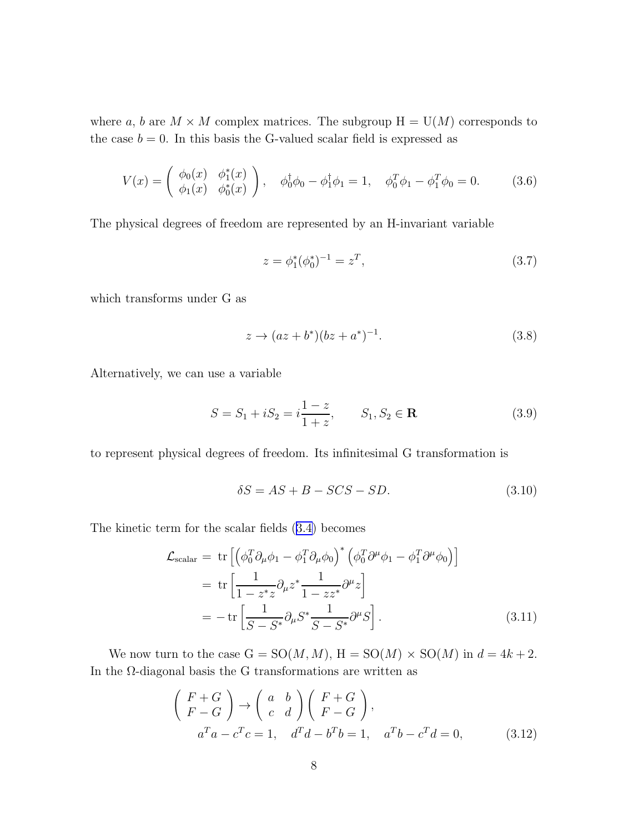<span id="page-7-0"></span>where a, b are  $M \times M$  complex matrices. The subgroup  $H = U(M)$  corresponds to the case  $b = 0$ . In this basis the G-valued scalar field is expressed as

$$
V(x) = \begin{pmatrix} \phi_0(x) & \phi_1^*(x) \\ \phi_1(x) & \phi_0^*(x) \end{pmatrix}, \quad \phi_0^{\dagger} \phi_0 - \phi_1^{\dagger} \phi_1 = 1, \quad \phi_0^T \phi_1 - \phi_1^T \phi_0 = 0. \tag{3.6}
$$

The physical degrees of freedom are represented by an H-invariant variable

$$
z = \phi_1^*(\phi_0^*)^{-1} = z^T,\tag{3.7}
$$

which transforms under G as

$$
z \to (az + b^*)(bz + a^*)^{-1}.
$$
\n(3.8)

Alternatively, we can use a variable

$$
S = S_1 + iS_2 = i\frac{1-z}{1+z}, \qquad S_1, S_2 \in \mathbf{R}
$$
 (3.9)

to represent physical degrees of freedom. Its infinitesimal G transformation is

$$
\delta S = AS + B - SCS - SD. \tag{3.10}
$$

The kinetic term for the scalar fields([3.4\)](#page-6-0) becomes

$$
\mathcal{L}_{\text{scalar}} = \text{tr}\left[ \left( \phi_0^T \partial_\mu \phi_1 - \phi_1^T \partial_\mu \phi_0 \right)^* \left( \phi_0^T \partial^\mu \phi_1 - \phi_1^T \partial^\mu \phi_0 \right) \right]
$$
\n
$$
= \text{tr}\left[ \frac{1}{1 - z^* z} \partial_\mu z^* \frac{1}{1 - z z^*} \partial^\mu z \right]
$$
\n
$$
= -\text{tr}\left[ \frac{1}{S - S^*} \partial_\mu S^* \frac{1}{S - S^*} \partial^\mu S \right]. \tag{3.11}
$$

We now turn to the case  $G = SO(M, M)$ ,  $H = SO(M) \times SO(M)$  in  $d = 4k + 2$ . In the  $\Omega$ -diagonal basis the G transformations are written as

$$
\begin{pmatrix} F+G \\ F-G \end{pmatrix} \rightarrow \begin{pmatrix} a & b \\ c & d \end{pmatrix} \begin{pmatrix} F+G \\ F-G \end{pmatrix},
$$
  
\n
$$
a^T a - c^T c = 1, \quad d^T d - b^T b = 1, \quad a^T b - c^T d = 0,
$$
\n(3.12)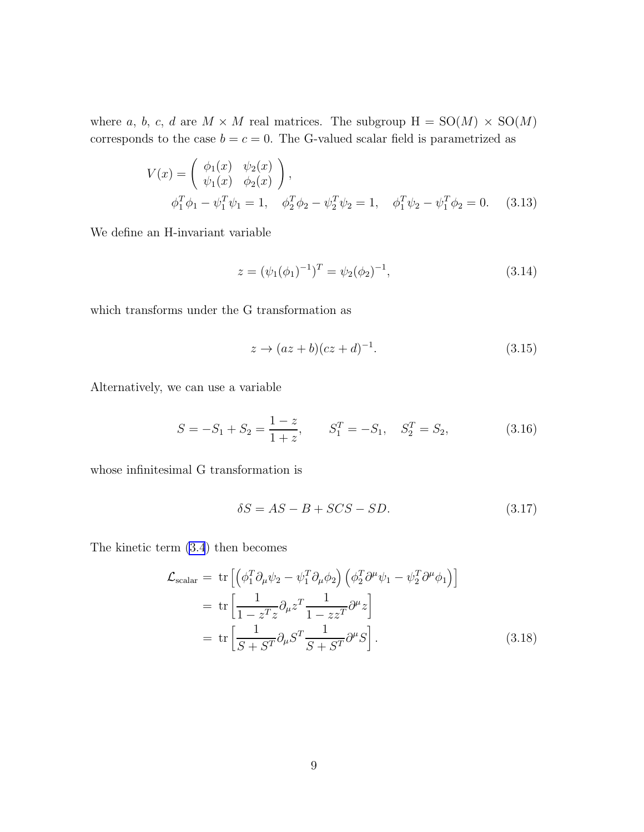<span id="page-8-0"></span>where a, b, c, d are  $M \times M$  real matrices. The subgroup  $H = SO(M) \times SO(M)$ corresponds to the case  $b = c = 0$ . The G-valued scalar field is parametrized as

$$
V(x) = \begin{pmatrix} \phi_1(x) & \psi_2(x) \\ \psi_1(x) & \phi_2(x) \end{pmatrix},
$$
  
\n
$$
\phi_1^T \phi_1 - \psi_1^T \psi_1 = 1, \quad \phi_2^T \phi_2 - \psi_2^T \psi_2 = 1, \quad \phi_1^T \psi_2 - \psi_1^T \phi_2 = 0.
$$
 (3.13)

We define an H-invariant variable

$$
z = (\psi_1(\phi_1)^{-1})^T = \psi_2(\phi_2)^{-1}, \tag{3.14}
$$

which transforms under the G transformation as

$$
z \to (az+b)(cz+d)^{-1}.
$$
\n
$$
(3.15)
$$

Alternatively, we can use a variable

$$
S = -S_1 + S_2 = \frac{1-z}{1+z}, \qquad S_1^T = -S_1, \quad S_2^T = S_2,\tag{3.16}
$$

whose infinitesimal G transformation is

$$
\delta S = AS - B + SCS - SD. \tag{3.17}
$$

The kinetic term [\(3.4](#page-6-0)) then becomes

$$
\mathcal{L}_{\text{scalar}} = \text{tr}\left[ \left( \phi_1^T \partial_\mu \psi_2 - \psi_1^T \partial_\mu \phi_2 \right) \left( \phi_2^T \partial^\mu \psi_1 - \psi_2^T \partial^\mu \phi_1 \right) \right]
$$
\n
$$
= \text{tr}\left[ \frac{1}{1 - z^T z} \partial_\mu z^T \frac{1}{1 - z z^T} \partial^\mu z \right]
$$
\n
$$
= \text{tr}\left[ \frac{1}{S + S^T} \partial_\mu S^T \frac{1}{S + S^T} \partial^\mu S \right]. \tag{3.18}
$$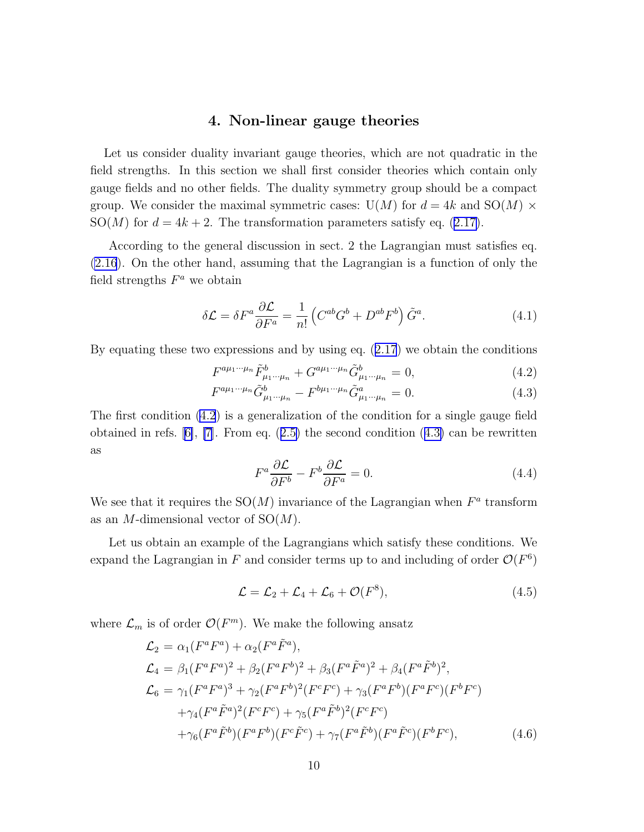### 4. Non-linear gauge theories

<span id="page-9-0"></span>Let us consider duality invariant gauge theories, which are not quadratic in the field strengths. In this section we shall first consider theories which contain only gauge fields and no other fields. The duality symmetry group should be a compact group. We consider the maximal symmetric cases:  $U(M)$  for  $d = 4k$  and  $SO(M) \times$  $SO(M)$ for  $d = 4k + 2$ . The transformation parameters satisfy eq. ([2.17\)](#page-5-0).

According to the general discussion in sect. 2 the Lagrangian must satisfies eq. [\(2.16](#page-5-0)). On the other hand, assuming that the Lagrangian is a function of only the field strengths  $F^a$  we obtain

$$
\delta \mathcal{L} = \delta F^a \frac{\partial \mathcal{L}}{\partial F^a} = \frac{1}{n!} \left( C^{ab} G^b + D^{ab} F^b \right) \tilde{G}^a.
$$
 (4.1)

Byequating these two expressions and by using eq.  $(2.17)$  $(2.17)$  $(2.17)$  we obtain the conditions

$$
F^{a\mu_1\cdots\mu_n}\tilde{F}^b_{\mu_1\cdots\mu_n} + G^{a\mu_1\cdots\mu_n}\tilde{G}^b_{\mu_1\cdots\mu_n} = 0,
$$
\n(4.2)

$$
F^{a\mu_1 \cdots \mu_n} \tilde{G}^b_{\mu_1 \cdots \mu_n} - F^{b\mu_1 \cdots \mu_n} \tilde{G}^a_{\mu_1 \cdots \mu_n} = 0.
$$
 (4.3)

The first condition (4.2) is a generalization of the condition for a single gauge field obtainedin refs.  $[6]$  $[6]$ ,  $[7]$ . From eq.  $(2.5)$  $(2.5)$  the second condition  $(4.3)$  can be rewritten as

$$
F^{a}\frac{\partial \mathcal{L}}{\partial F^{b}} - F^{b}\frac{\partial \mathcal{L}}{\partial F^{a}} = 0.
$$
\n(4.4)

We see that it requires the  $SO(M)$  invariance of the Lagrangian when  $F^a$  transform as an M-dimensional vector of  $SO(M)$ .

Let us obtain an example of the Lagrangians which satisfy these conditions. We expand the Lagrangian in F and consider terms up to and including of order  $\mathcal{O}(F^6)$ 

$$
\mathcal{L} = \mathcal{L}_2 + \mathcal{L}_4 + \mathcal{L}_6 + \mathcal{O}(F^8),\tag{4.5}
$$

where  $\mathcal{L}_m$  is of order  $\mathcal{O}(F^m)$ . We make the following ansatz

$$
\mathcal{L}_2 = \alpha_1 (F^a F^a) + \alpha_2 (F^a \tilde{F}^a),
$$
  
\n
$$
\mathcal{L}_4 = \beta_1 (F^a F^a)^2 + \beta_2 (F^a F^b)^2 + \beta_3 (F^a \tilde{F}^a)^2 + \beta_4 (F^a \tilde{F}^b)^2,
$$
  
\n
$$
\mathcal{L}_6 = \gamma_1 (F^a F^a)^3 + \gamma_2 (F^a F^b)^2 (F^c F^c) + \gamma_3 (F^a F^b) (F^a F^c) (F^b F^c)
$$
  
\n
$$
+ \gamma_4 (F^a \tilde{F}^a)^2 (F^c F^c) + \gamma_5 (F^a \tilde{F}^b)^2 (F^c F^c)
$$
  
\n
$$
+ \gamma_6 (F^a \tilde{F}^b) (F^a F^b) (F^c \tilde{F}^c) + \gamma_7 (F^a \tilde{F}^b) (F^a \tilde{F}^c) (F^b F^c),
$$
\n(4.6)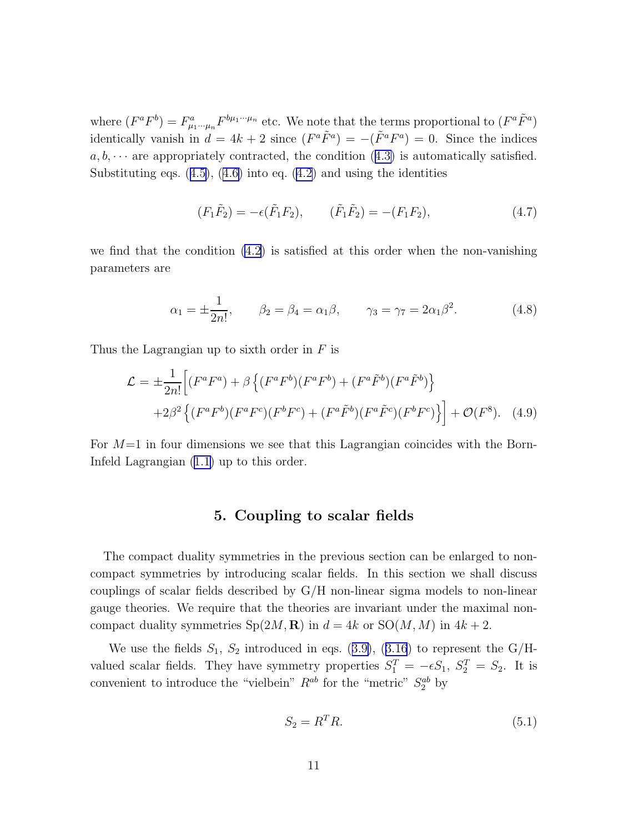where  $(F^a F^b) = F^a_{\mu_1 \cdots \mu_n} F^{b\mu_1 \cdots \mu_n}$  etc. We note that the terms proportional to  $(F^a \tilde{F}^a)$ identically vanish in  $d = 4k + 2$  since  $(F^a \tilde{F}^a) = -(\tilde{F}^a F^a) = 0$ . Since the indices  $a, b, \cdots$  $a, b, \cdots$  $a, b, \cdots$  are appropriately contracted, the condition ([4.3\)](#page-9-0) is automatically satisfied. Substitutingeqs.  $(4.5)$  $(4.5)$ ,  $(4.6)$  $(4.6)$  into eq.  $(4.2)$  $(4.2)$  and using the identities

$$
(F_1\tilde{F}_2) = -\epsilon(\tilde{F}_1F_2), \qquad (\tilde{F}_1\tilde{F}_2) = -(F_1F_2), \qquad (4.7)
$$

we find that the condition  $(4.2)$  is satisfied at this order when the non-vanishing parameters are

$$
\alpha_1 = \pm \frac{1}{2n!},
$$
\n $\beta_2 = \beta_4 = \alpha_1 \beta,$ \n $\gamma_3 = \gamma_7 = 2\alpha_1 \beta^2.$ \n(4.8)

Thus the Lagrangian up to sixth order in  $F$  is

$$
\mathcal{L} = \pm \frac{1}{2n!} \Big[ (F^a F^a) + \beta \left\{ (F^a F^b)(F^a F^b) + (F^a \tilde{F}^b)(F^a \tilde{F}^b) \right\} + 2\beta^2 \left\{ (F^a F^b)(F^a F^c)(F^b F^c) + (F^a \tilde{F}^b)(F^a \tilde{F}^c)(F^b F^c) \right\} \Big] + \mathcal{O}(F^8). \quad (4.9)
$$

For  $M=1$  in four dimensions we see that this Lagrangian coincides with the Born-Infeld Lagrangian([1.1\)](#page-1-0) up to this order.

#### 5. Coupling to scalar fields

The compact duality symmetries in the previous section can be enlarged to noncompact symmetries by introducing scalar fields. In this section we shall discuss couplings of scalar fields described by  $G/H$  non-linear sigma models to non-linear gauge theories. We require that the theories are invariant under the maximal noncompact duality symmetries  $Sp(2M, \mathbf{R})$  in  $d = 4k$  or  $SO(M, M)$  in  $4k + 2$ .

Weuse the fields  $S_1$ ,  $S_2$  introduced in eqs. ([3.9\)](#page-7-0), ([3.16](#page-8-0)) to represent the G/Hvalued scalar fields. They have symmetry properties  $S_1^T = -\epsilon S_1$ ,  $S_2^T = S_2$ . It is convenient to introduce the "vielbein"  $R^{ab}$  for the "metric"  $S_2^{ab}$  by

$$
S_2 = R^T R. \tag{5.1}
$$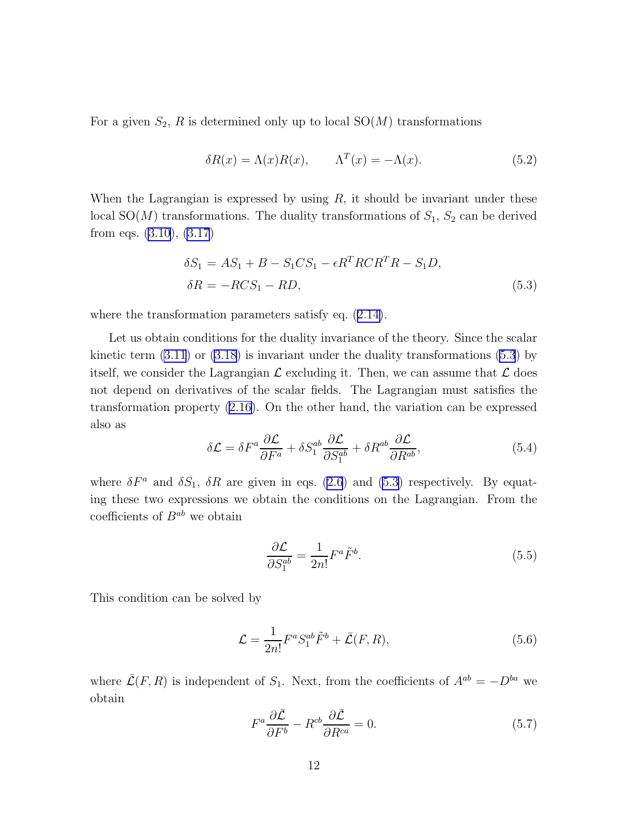<span id="page-11-0"></span>For a given  $S_2$ , R is determined only up to local  $SO(M)$  transformations

$$
\delta R(x) = \Lambda(x)R(x), \qquad \Lambda^{T}(x) = -\Lambda(x). \tag{5.2}
$$

When the Lagrangian is expressed by using  $R$ , it should be invariant under these local  $SO(M)$  transformations. The duality transformations of  $S_1$ ,  $S_2$  can be derived from eqs. [\(3.10](#page-7-0)), [\(3.17](#page-8-0))

$$
\delta S_1 = AS_1 + B - S_1 CS_1 - \epsilon R^T R C R^T R - S_1 D,
$$
  
\n
$$
\delta R = -R CS_1 - R D,
$$
\n(5.3)

wherethe transformation parameters satisfy eq.  $(2.14)$  $(2.14)$ .

Let us obtain conditions for the duality invariance of the theory. Since the scalar kinetic term [\(3.11](#page-7-0)) or [\(3.18\)](#page-8-0) is invariant under the duality transformations (5.3) by itself, we consider the Lagrangian  $\mathcal L$  excluding it. Then, we can assume that  $\mathcal L$  does not depend on derivatives of the scalar fields. The Lagrangian must satisfies the transformation property [\(2.16](#page-5-0)). On the other hand, the variation can be expressed also as

$$
\delta \mathcal{L} = \delta F^a \frac{\partial \mathcal{L}}{\partial F^a} + \delta S_1^{ab} \frac{\partial \mathcal{L}}{\partial S_1^{ab}} + \delta R^{ab} \frac{\partial \mathcal{L}}{\partial R^{ab}},\tag{5.4}
$$

where  $\delta F^a$  and  $\delta S_1$ ,  $\delta R$  are given in eqs. [\(2.6](#page-3-0)) and (5.3) respectively. By equating these two expressions we obtain the conditions on the Lagrangian. From the coefficients of  $B^{ab}$  we obtain

$$
\frac{\partial \mathcal{L}}{\partial S_1^{ab}} = \frac{1}{2n!} F^a \tilde{F}^b. \tag{5.5}
$$

This condition can be solved by

$$
\mathcal{L} = \frac{1}{2n!} F^a S_1^{ab} \tilde{F}^b + \bar{\mathcal{L}}(F, R), \tag{5.6}
$$

where  $\overline{\mathcal{L}}(F, R)$  is independent of  $S_1$ . Next, from the coefficients of  $A^{ab} = -D^{ba}$  we obtain

$$
F^{a}\frac{\partial \bar{\mathcal{L}}}{\partial F^{b}} - R^{cb}\frac{\partial \bar{\mathcal{L}}}{\partial R^{ca}} = 0.
$$
\n(5.7)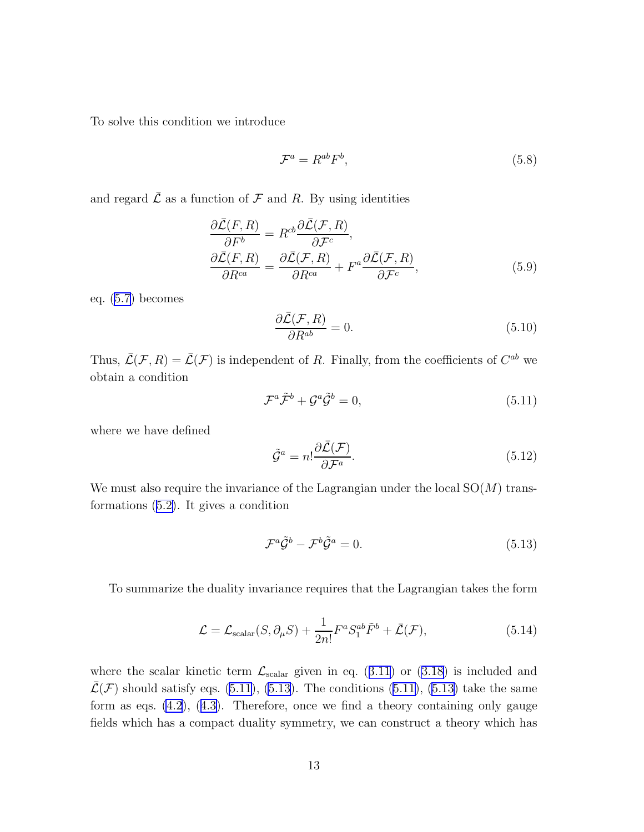<span id="page-12-0"></span>To solve this condition we introduce

$$
\mathcal{F}^a = R^{ab} F^b,\tag{5.8}
$$

and regard  $\overline{\mathcal{L}}$  as a function of  $\mathcal F$  and R. By using identities

$$
\frac{\partial \bar{\mathcal{L}}(F,R)}{\partial F^b} = R^{cb} \frac{\partial \bar{\mathcal{L}}(\mathcal{F},R)}{\partial \mathcal{F}^c},
$$
\n
$$
\frac{\partial \bar{\mathcal{L}}(F,R)}{\partial R^{ca}} = \frac{\partial \bar{\mathcal{L}}(\mathcal{F},R)}{\partial R^{ca}} + F^a \frac{\partial \bar{\mathcal{L}}(\mathcal{F},R)}{\partial \mathcal{F}^c},
$$
\n(5.9)

eq.([5.7\)](#page-11-0) becomes

$$
\frac{\partial \bar{\mathcal{L}}(\mathcal{F}, R)}{\partial R^{ab}} = 0. \tag{5.10}
$$

Thus,  $\bar{\mathcal{L}}(\mathcal{F}, R) = \bar{\mathcal{L}}(\mathcal{F})$  is independent of R. Finally, from the coefficients of  $C^{ab}$  we obtain a condition

$$
\mathcal{F}^a \tilde{\mathcal{F}}^b + \mathcal{G}^a \tilde{\mathcal{G}}^b = 0, \tag{5.11}
$$

where we have defined

$$
\tilde{\mathcal{G}}^a = n! \frac{\partial \bar{\mathcal{L}}(\mathcal{F})}{\partial \mathcal{F}^a}.
$$
\n(5.12)

We must also require the invariance of the Lagrangian under the local  $SO(M)$  transformations([5.2\)](#page-11-0). It gives a condition

$$
\mathcal{F}^a \tilde{\mathcal{G}}^b - \mathcal{F}^b \tilde{\mathcal{G}}^a = 0.
$$
 (5.13)

To summarize the duality invariance requires that the Lagrangian takes the form

$$
\mathcal{L} = \mathcal{L}_{\text{scalar}}(S, \partial_{\mu}S) + \frac{1}{2n!} F^a S_1^{ab} \tilde{F}^b + \bar{\mathcal{L}}(\mathcal{F}), \tag{5.14}
$$

wherethe scalar kinetic term  $\mathcal{L}_{\text{scalar}}$  given in eq. ([3.11](#page-7-0)) or ([3.18\)](#page-8-0) is included and  $\mathcal{L}(\mathcal{F})$  should satisfy eqs. (5.11), (5.13). The conditions (5.11), (5.13) take the same form as eqs. [\(4.2](#page-9-0)),([4.3\)](#page-9-0). Therefore, once we find a theory containing only gauge fields which has a compact duality symmetry, we can construct a theory which has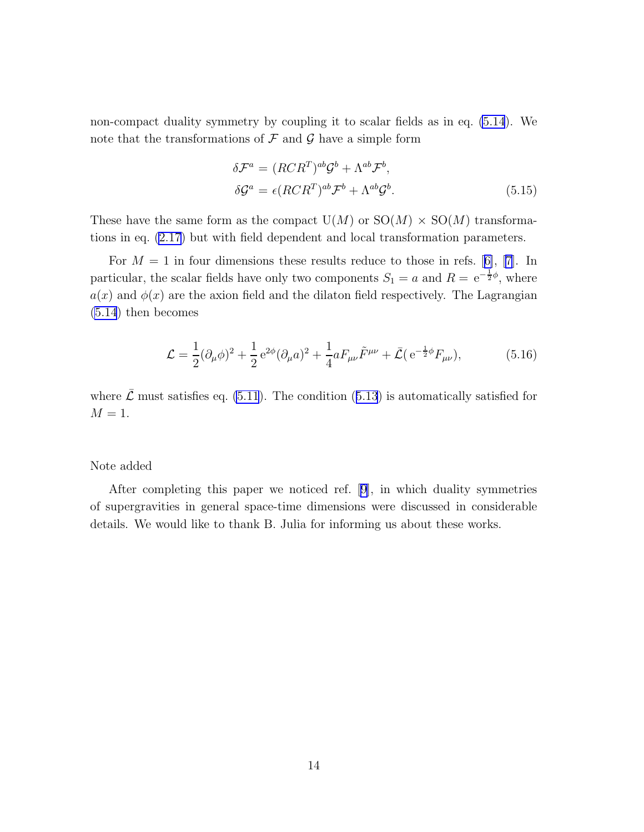non-compact duality symmetry by coupling it to scalar fields as in eq. [\(5.14](#page-12-0)). We note that the transformations of  $\mathcal F$  and  $\mathcal G$  have a simple form

$$
\delta \mathcal{F}^a = (RCR^T)^{ab} \mathcal{G}^b + \Lambda^{ab} \mathcal{F}^b,
$$
  
\n
$$
\delta \mathcal{G}^a = \epsilon (RCR^T)^{ab} \mathcal{F}^b + \Lambda^{ab} \mathcal{G}^b.
$$
\n(5.15)

These have the same form as the compact  $U(M)$  or  $SO(M) \times SO(M)$  transformations in eq. [\(2.17](#page-5-0)) but with field dependent and local transformation parameters.

For $M = 1$  in four dimensions these results reduce to those in refs. [[6\]](#page-14-0), [[7\]](#page-14-0). In particular, the scalar fields have only two components  $S_1 = a$  and  $R = e^{-\frac{1}{2}\phi}$ , where  $a(x)$  and  $\phi(x)$  are the axion field and the dilaton field respectively. The Lagrangian [\(5.14](#page-12-0)) then becomes

$$
\mathcal{L} = \frac{1}{2} (\partial_{\mu} \phi)^2 + \frac{1}{2} e^{2\phi} (\partial_{\mu} a)^2 + \frac{1}{4} a F_{\mu\nu} \tilde{F}^{\mu\nu} + \bar{\mathcal{L}} (e^{-\frac{1}{2}\phi} F_{\mu\nu}), \tag{5.16}
$$

where $\bar{\mathcal{L}}$  must satisfies eq. [\(5.11](#page-12-0)). The condition ([5.13](#page-12-0)) is automatically satisfied for  $M=1$ .

#### Note added

After completing this paper we noticed ref. [\[9\]](#page-14-0), in which duality symmetries of supergravities in general space-time dimensions were discussed in considerable details. We would like to thank B. Julia for informing us about these works.